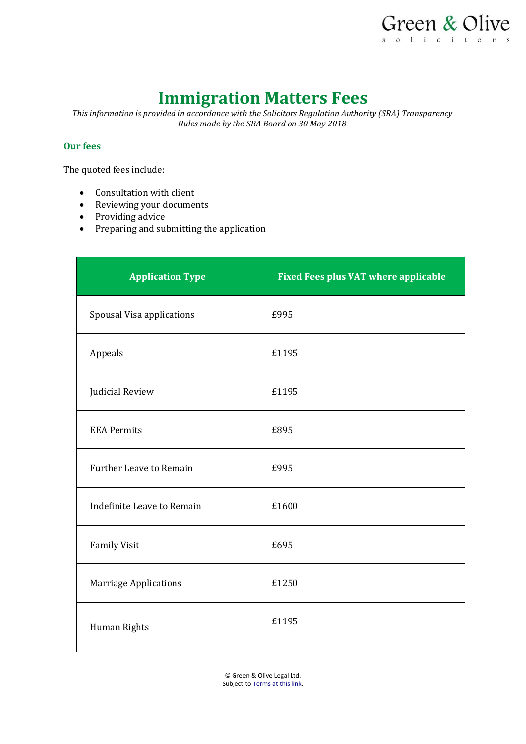

# **Immigration Matters Fees**

*This information is provided in accordance with the Solicitors Regulation Authority (SRA) Transparency Rules made by the SRA Board on 30 May 2018*

#### **Our fees**

The quoted fees include:

- Consultation with client
- Reviewing your documents
- Providing advice
- Preparing and submitting the application

| <b>Application Type</b>        | <b>Fixed Fees plus VAT where applicable</b> |
|--------------------------------|---------------------------------------------|
| Spousal Visa applications      | £995                                        |
| Appeals                        | £1195                                       |
| Judicial Review                | £1195                                       |
| <b>EEA Permits</b>             | £895                                        |
| <b>Further Leave to Remain</b> | £995                                        |
| Indefinite Leave to Remain     | £1600                                       |
| <b>Family Visit</b>            | £695                                        |
| <b>Marriage Applications</b>   | £1250                                       |
| Human Rights                   | £1195                                       |

© Green & Olive Legal Ltd. Subject t[o Terms at this link.](https://www.greenandolive.co.uk/terms/)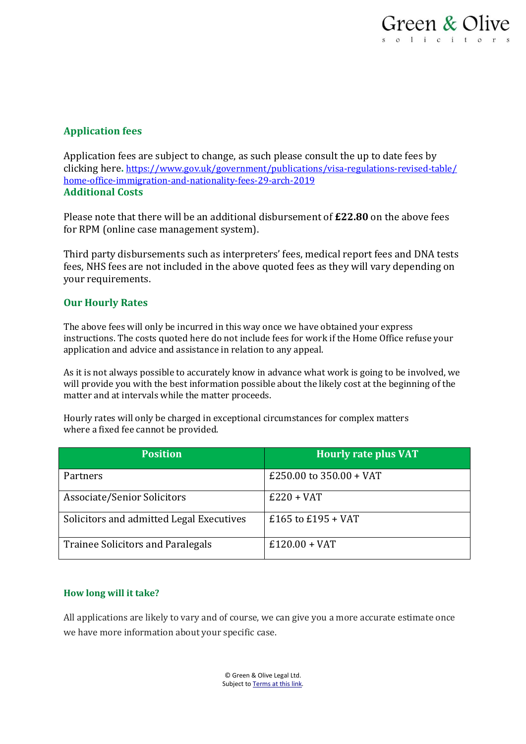# **Application fees**

Application fees are subject to change, as such please consult the up to date fees by clicking here**.** [https://www.gov.uk/government/publications/visa-regulations-revised-table/](https://www.gov.uk/government/publications/visa-regulations-revised-table/home-office-immigration-and-nationality-fees-29-march-2019) [home-office-immigration-and-nationality-fees-29-arch-2019](https://www.gov.uk/government/publications/visa-regulations-revised-table/home-office-immigration-and-nationality-fees-29-march-2019) **Additional Costs**

Please note that there will be an additional disbursement of **£22.80** on the above fees for RPM (online case management system).

Third party disbursements such as interpreters' fees, medical report fees and DNA tests fees, NHS fees are not included in the above quoted fees as they will vary depending on your requirements.

## **Our Hourly Rates**

The above fees will only be incurred in this way once we have obtained your express instructions. The costs quoted here do not include fees for work if the Home Office refuse your application and advice and assistance in relation to any appeal.

As it is not always possible to accurately know in advance what work is going to be involved, we will provide you with the best information possible about the likely cost at the beginning of the matter and at intervals while the matter proceeds.

Hourly rates will only be charged in exceptional circumstances for complex matters where a fixed fee cannot be provided.

| <b>Position</b>                          | <b>Hourly rate plus VAT</b> |
|------------------------------------------|-----------------------------|
| Partners                                 | £250.00 to $350.00 + VAT$   |
| Associate/Senior Solicitors              | $E220 + VAT$                |
| Solicitors and admitted Legal Executives | £165 to £195 + VAT          |
| <b>Trainee Solicitors and Paralegals</b> | $£120.00 + VAT$             |

### **How long will it take?**

All applications are likely to vary and of course, we can give you a more accurate estimate once we have more information about your specific case.

> © Green & Olive Legal Ltd. Subject t[o Terms at this link.](https://www.greenandolive.co.uk/terms/)